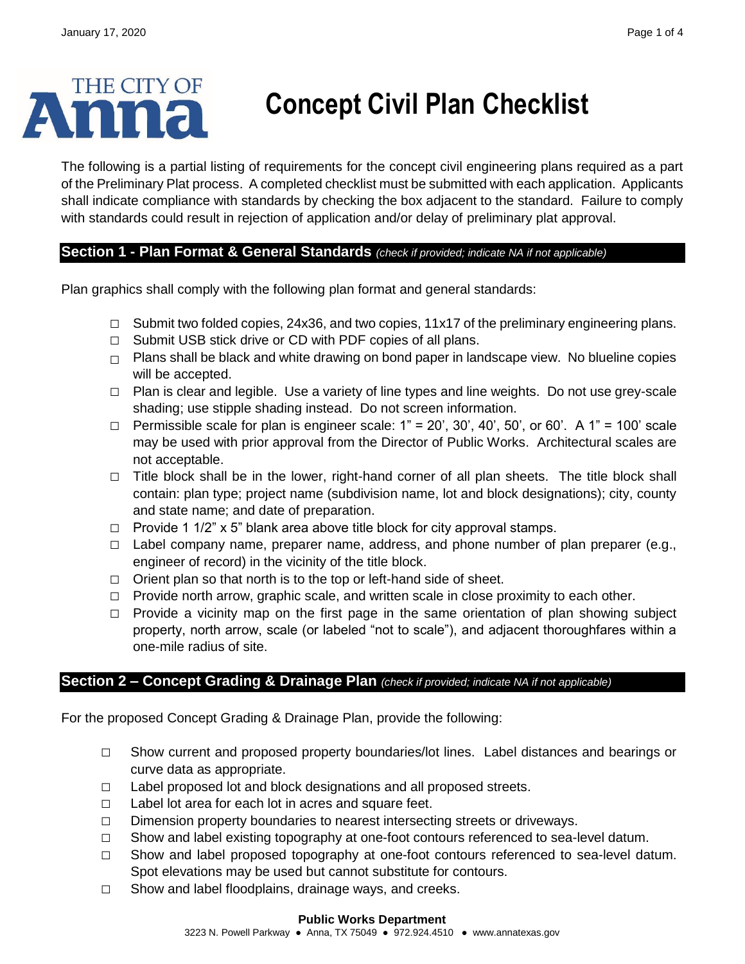# THE CITY OF

## **Concept Civil Plan Checklist**

The following is a partial listing of requirements for the concept civil engineering plans required as a part of the Preliminary Plat process. A completed checklist must be submitted with each application. Applicants shall indicate compliance with standards by checking the box adjacent to the standard. Failure to comply with standards could result in rejection of application and/or delay of preliminary plat approval.

### **Section 1 - Plan Format & General Standards** *(check if provided; indicate NA if not applicable)*

Plan graphics shall comply with the following plan format and general standards:

- **□** Submit two folded copies, 24x36, and two copies, 11x17 of the preliminary engineering plans.
- **□** Submit USB stick drive or CD with PDF copies of all plans.
- **□** Plans shall be black and white drawing on bond paper in landscape view. No blueline copies will be accepted.
- **□** Plan is clear and legible. Use a variety of line types and line weights. Do not use grey-scale shading; use stipple shading instead. Do not screen information.
- **□** Permissible scale for plan is engineer scale: 1" = 20', 30', 40', 50', or 60'. A 1" = 100' scale may be used with prior approval from the Director of Public Works. Architectural scales are not acceptable.
- **□** Title block shall be in the lower, right-hand corner of all plan sheets. The title block shall contain: plan type; project name (subdivision name, lot and block designations); city, county and state name; and date of preparation.
- **□** Provide 1 1/2" x 5" blank area above title block for city approval stamps.
- **□** Label company name, preparer name, address, and phone number of plan preparer (e.g., engineer of record) in the vicinity of the title block.
- **□** Orient plan so that north is to the top or left-hand side of sheet.
- **□** Provide north arrow, graphic scale, and written scale in close proximity to each other.
- **□** Provide a vicinity map on the first page in the same orientation of plan showing subject property, north arrow, scale (or labeled "not to scale"), and adjacent thoroughfares within a one-mile radius of site.

### **Section 2 – Concept Grading & Drainage Plan** *(check if provided; indicate NA if not applicable)*

For the proposed Concept Grading & Drainage Plan, provide the following:

- **□** Show current and proposed property boundaries/lot lines. Label distances and bearings or curve data as appropriate.
- **□** Label proposed lot and block designations and all proposed streets.
- **□** Label lot area for each lot in acres and square feet.
- **□** Dimension property boundaries to nearest intersecting streets or driveways.
- **□** Show and label existing topography at one-foot contours referenced to sea-level datum.
- **□** Show and label proposed topography at one-foot contours referenced to sea-level datum. Spot elevations may be used but cannot substitute for contours.
- **□** Show and label floodplains, drainage ways, and creeks.